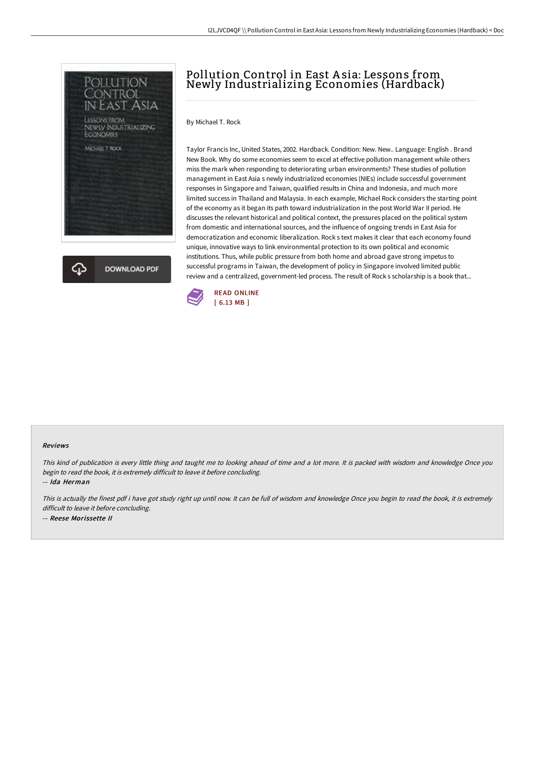

**DOWNLOAD PDF** 

## Pollution Control in East A sia: Lessons from Newly Industrializing Economies (Hardback)

By Michael T. Rock

Taylor Francis Inc, United States, 2002. Hardback. Condition: New. New.. Language: English . Brand New Book. Why do some economies seem to excel at effective pollution management while others miss the mark when responding to deteriorating urban environments? These studies of pollution management in East Asia s newly industrialized economies (NIEs) include successful government responses in Singapore and Taiwan, qualified results in China and Indonesia, and much more limited success in Thailand and Malaysia. In each example, Michael Rock considers the starting point of the economy as it began its path toward industrialization in the post World War II period. He discusses the relevant historical and political context, the pressures placed on the political system from domestic and international sources, and the influence of ongoing trends in East Asia for democratization and economic liberalization. Rock s text makes it clear that each economy found unique, innovative ways to link environmental protection to its own political and economic institutions. Thus, while public pressure from both home and abroad gave strong impetus to successful programs in Taiwan, the development of policy in Singapore involved limited public review and a centralized, government-led process. The result of Rock s scholarship is a book that...



## Reviews

This kind of publication is every little thing and taught me to looking ahead of time and <sup>a</sup> lot more. It is packed with wisdom and knowledge Once you begin to read the book, it is extremely difficult to leave it before concluding.

-- Ida Herman

This is actually the finest pdf i have got study right up until now. It can be full of wisdom and knowledge Once you begin to read the book, it is extremely difficult to leave it before concluding. -- Reese Morissette II